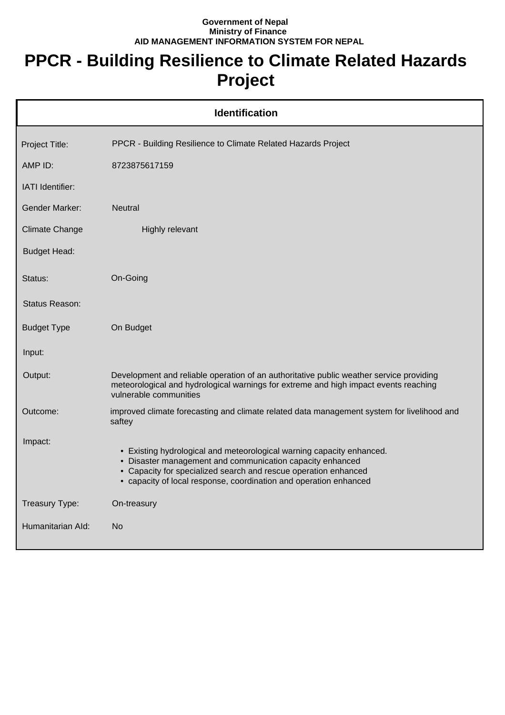## **Government of Nepal Ministry of Finance AID MANAGEMENT INFORMATION SYSTEM FOR NEPAL**

## **PPCR - Building Resilience to Climate Related Hazards Project**

| <b>Identification</b> |                                                                                                                                                                                                                                                                            |  |  |
|-----------------------|----------------------------------------------------------------------------------------------------------------------------------------------------------------------------------------------------------------------------------------------------------------------------|--|--|
| Project Title:        | PPCR - Building Resilience to Climate Related Hazards Project                                                                                                                                                                                                              |  |  |
| AMP ID:               | 8723875617159                                                                                                                                                                                                                                                              |  |  |
| IATI Identifier:      |                                                                                                                                                                                                                                                                            |  |  |
| <b>Gender Marker:</b> | <b>Neutral</b>                                                                                                                                                                                                                                                             |  |  |
| <b>Climate Change</b> | Highly relevant                                                                                                                                                                                                                                                            |  |  |
| <b>Budget Head:</b>   |                                                                                                                                                                                                                                                                            |  |  |
| Status:               | On-Going                                                                                                                                                                                                                                                                   |  |  |
| <b>Status Reason:</b> |                                                                                                                                                                                                                                                                            |  |  |
| <b>Budget Type</b>    | On Budget                                                                                                                                                                                                                                                                  |  |  |
| Input:                |                                                                                                                                                                                                                                                                            |  |  |
| Output:               | Development and reliable operation of an authoritative public weather service providing<br>meteorological and hydrological warnings for extreme and high impact events reaching<br>vulnerable communities                                                                  |  |  |
| Outcome:              | improved climate forecasting and climate related data management system for livelihood and<br>saftey                                                                                                                                                                       |  |  |
| Impact:               | • Existing hydrological and meteorological warning capacity enhanced.<br>• Disaster management and communication capacity enhanced<br>• Capacity for specialized search and rescue operation enhanced<br>• capacity of local response, coordination and operation enhanced |  |  |
| Treasury Type:        | On-treasury                                                                                                                                                                                                                                                                |  |  |
| Humanitarian Ald:     | No                                                                                                                                                                                                                                                                         |  |  |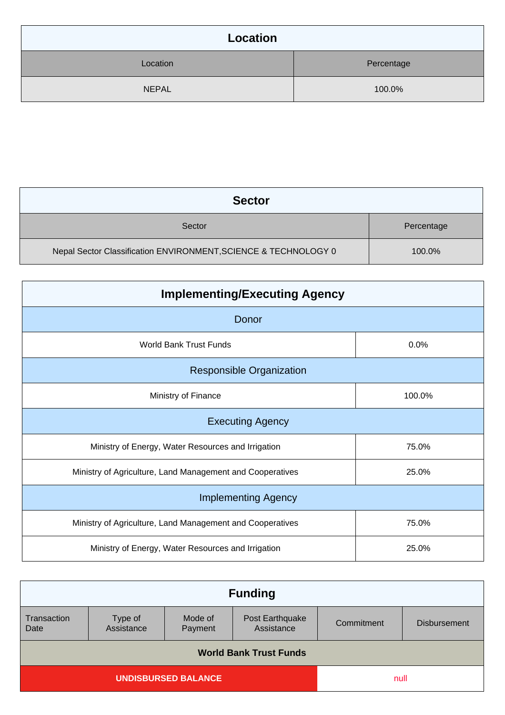| Location     |            |
|--------------|------------|
| Location     | Percentage |
| <b>NEPAL</b> | 100.0%     |

| <b>Sector</b>                                                   |            |
|-----------------------------------------------------------------|------------|
| Sector                                                          | Percentage |
| Nepal Sector Classification ENVIRONMENT, SCIENCE & TECHNOLOGY 0 | 100.0%     |

| <b>Implementing/Executing Agency</b>                      |        |  |
|-----------------------------------------------------------|--------|--|
| Donor                                                     |        |  |
| <b>World Bank Trust Funds</b>                             | 0.0%   |  |
| <b>Responsible Organization</b>                           |        |  |
| Ministry of Finance                                       | 100.0% |  |
| <b>Executing Agency</b>                                   |        |  |
| Ministry of Energy, Water Resources and Irrigation        | 75.0%  |  |
| Ministry of Agriculture, Land Management and Cooperatives | 25.0%  |  |
| <b>Implementing Agency</b>                                |        |  |
| Ministry of Agriculture, Land Management and Cooperatives | 75.0%  |  |
| Ministry of Energy, Water Resources and Irrigation        | 25.0%  |  |

| <b>Funding</b>                |                       |                    |                               |            |                     |
|-------------------------------|-----------------------|--------------------|-------------------------------|------------|---------------------|
| Transaction<br>Date           | Type of<br>Assistance | Mode of<br>Payment | Post Earthquake<br>Assistance | Commitment | <b>Disbursement</b> |
| <b>World Bank Trust Funds</b> |                       |                    |                               |            |                     |
| <b>UNDISBURSED BALANCE</b>    |                       | null               |                               |            |                     |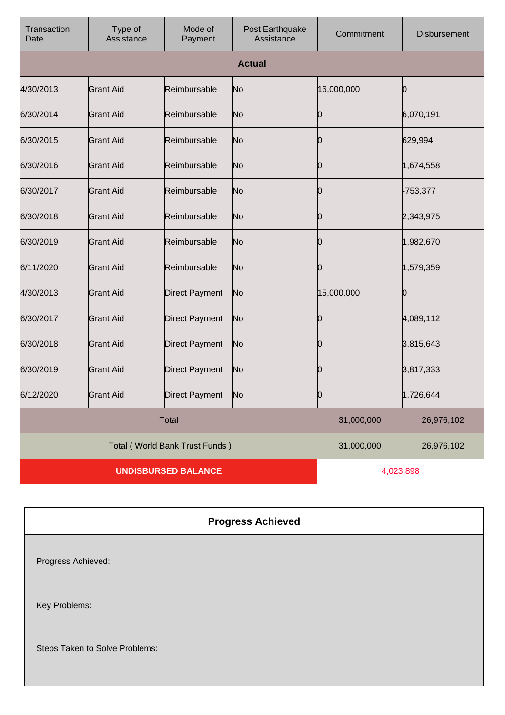| Transaction<br>Date            | Type of<br>Assistance | Mode of<br>Payment    | Post Earthquake<br>Assistance | Commitment | <b>Disbursement</b> |
|--------------------------------|-----------------------|-----------------------|-------------------------------|------------|---------------------|
|                                |                       |                       | <b>Actual</b>                 |            |                     |
| 4/30/2013                      | <b>Grant Aid</b>      | Reimbursable          | No                            | 16,000,000 | 10                  |
| 6/30/2014                      | <b>Grant Aid</b>      | Reimbursable          | No                            | Ю          | 6,070,191           |
| 6/30/2015                      | <b>Grant Aid</b>      | Reimbursable          | No                            | Ю          | 629,994             |
| 6/30/2016                      | <b>Grant Aid</b>      | Reimbursable          | No                            | Ю          | 1,674,558           |
| 6/30/2017                      | <b>Grant Aid</b>      | Reimbursable          | No                            | Ю          | -753,377            |
| 6/30/2018                      | <b>Grant Aid</b>      | Reimbursable          | No                            | Ю          | 2,343,975           |
| 6/30/2019                      | <b>Grant Aid</b>      | Reimbursable          | No                            | 0          | 1,982,670           |
| 6/11/2020                      | <b>Grant Aid</b>      | Reimbursable          | No                            | Ю          | 1,579,359           |
| 4/30/2013                      | <b>Grant Aid</b>      | <b>Direct Payment</b> | No                            | 15,000,000 | Ю                   |
| 6/30/2017                      | <b>Grant Aid</b>      | <b>Direct Payment</b> | No                            | Ю          | 4,089,112           |
| 6/30/2018                      | <b>Grant Aid</b>      | <b>Direct Payment</b> | No                            | Ю          | 3,815,643           |
| 6/30/2019                      | <b>Grant Aid</b>      | <b>Direct Payment</b> | No                            | Ю          | 3,817,333           |
| 6/12/2020                      | <b>Grant Aid</b>      | <b>Direct Payment</b> | No                            | n.         | 1,726,644           |
| <b>Total</b>                   |                       |                       | 31,000,000                    | 26,976,102 |                     |
| Total (World Bank Trust Funds) |                       |                       | 31,000,000                    | 26,976,102 |                     |
| <b>UNDISBURSED BALANCE</b>     |                       |                       | 4,023,898                     |            |                     |

|                                | <b>Progress Achieved</b> |
|--------------------------------|--------------------------|
| Progress Achieved:             |                          |
| Key Problems:                  |                          |
| Steps Taken to Solve Problems: |                          |